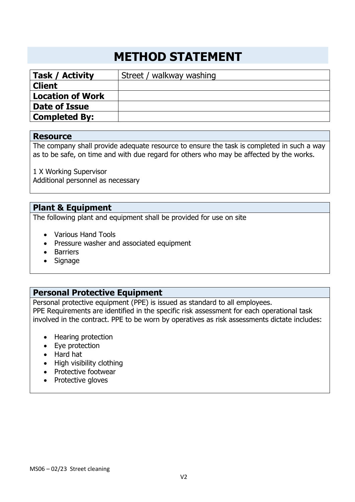# **METHOD STATEMENT**

| <b>Task / Activity</b>  | Street / walkway washing |
|-------------------------|--------------------------|
| <b>Client</b>           |                          |
| <b>Location of Work</b> |                          |
| Date of Issue           |                          |
| <b>Completed By:</b>    |                          |
|                         |                          |

#### **Resource**

The company shall provide adequate resource to ensure the task is completed in such a way as to be safe, on time and with due regard for others who may be affected by the works.

1 X Working Supervisor Additional personnel as necessary

## **Plant & Equipment**

The following plant and equipment shall be provided for use on site

- Various Hand Tools
- Pressure washer and associated equipment
- Barriers
- Signage

# **Personal Protective Equipment**

Personal protective equipment (PPE) is issued as standard to all employees. PPE Requirements are identified in the specific risk assessment for each operational task involved in the contract. PPE to be worn by operatives as risk assessments dictate includes:

- Hearing protection
- Eye protection
- Hard hat
- High visibility clothing
- Protective footwear
- Protective gloves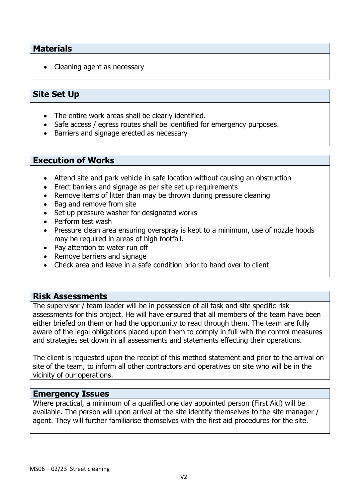## **Materials**

• Cleaning agent as necessary

# **Site Set Up**

- The entire work areas shall be clearly identified.
- Safe access / egress routes shall be identified for emergency purposes.
- Barriers and signage erected as necessary

### **Execution of Works**

- Attend site and park vehicle in safe location without causing an obstruction
- Erect barriers and signage as per site set up requirements
- Remove items of litter than may be thrown during pressure cleaning
- Bag and remove from site
- Set up pressure washer for designated works
- Perform test wash
- Pressure clean area ensuring overspray is kept to a minimum, use of nozzle hoods may be required in areas of high footfall.
- Pay attention to water run off
- Remove barriers and signage
- Check area and leave in a safe condition prior to hand over to client

#### **Risk Assessments**

The supervisor / team leader will be in possession of all task and site specific risk assessments for this project. He will have ensured that all members of the team have been either briefed on them or had the opportunity to read through them. The team are fully aware of the legal obligations placed upon them to comply in full with the control measures and strategies set down in all assessments and statements effecting their operations.

The client is requested upon the receipt of this method statement and prior to the arrival on site of the team, to inform all other contractors and operatives on site who will be in the vicinity of our operations.

#### **Emergency Issues**

Where practical, a minimum of a qualified one day appointed person (First Aid) will be available. The person will upon arrival at the site identify themselves to the site manager / agent. They will further familiarise themselves with the first aid procedures for the site.